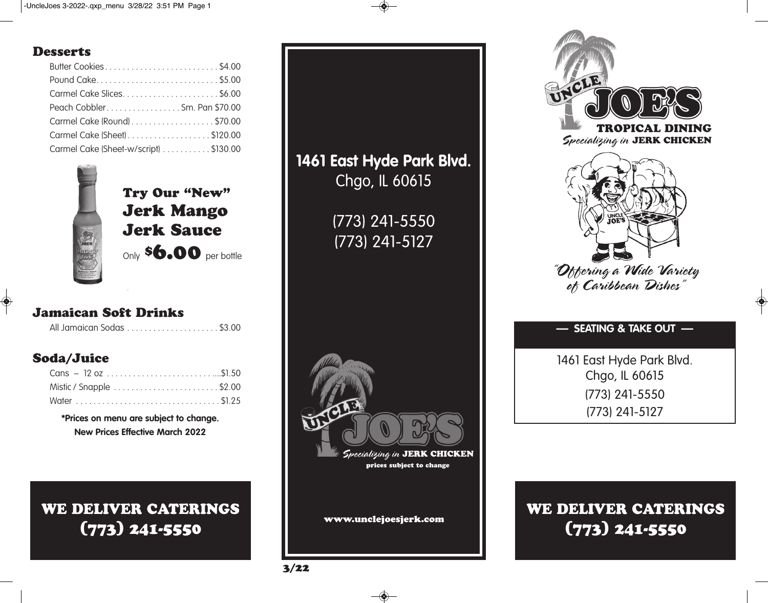### **Desserts**

| Butter Cookies\$4.00                  |  |
|---------------------------------------|--|
| Pound Cake \$5.00                     |  |
|                                       |  |
| Peach CobblerSm. Pan \$70.00          |  |
| Carmel Cake (Round) \$70.00           |  |
| Carmel Cake (Sheet) \$120.00          |  |
| Carmel Cake (Sheet-w/script) \$130.00 |  |



**Try Our "New" Jerk Mango Jerk Sauce** Only **\$6.00** per bottle

## **Jamaican Soft Drinks**

## **Soda/Juice**

| Cans – $12 oz$ \$1.50   |
|-------------------------|
| Mistic / Snapple \$2.00 |
|                         |

**\*Prices on menu are subject to change. New Prices Effective March 2022**

**WE DELIVER CATERINGS (773) 241-5550**





1461 East Hyde Park Blvd. Chgo, IL 60615 (773) 241-5550 (773) 241-5127

# **WE DELIVER CATERINGS (773) 241-5550**